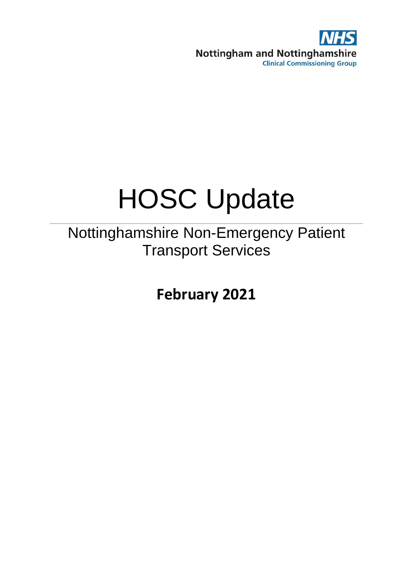

# HOSC Update

Nottinghamshire Non-Emergency Patient Transport Services

**February 2021**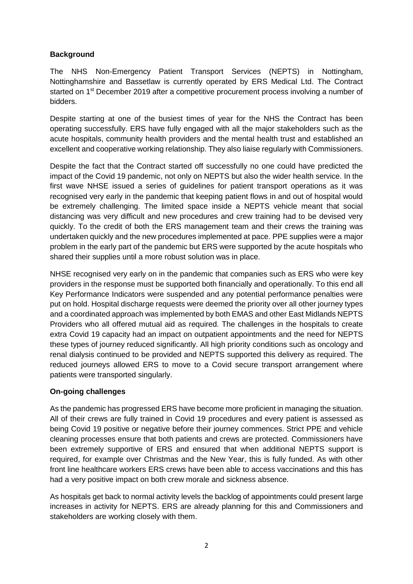# **Background**

The NHS Non-Emergency Patient Transport Services (NEPTS) in Nottingham, Nottinghamshire and Bassetlaw is currently operated by ERS Medical Ltd. The Contract started on 1st December 2019 after a competitive procurement process involving a number of bidders.

Despite starting at one of the busiest times of year for the NHS the Contract has been operating successfully. ERS have fully engaged with all the major stakeholders such as the acute hospitals, community health providers and the mental health trust and established an excellent and cooperative working relationship. They also liaise regularly with Commissioners.

Despite the fact that the Contract started off successfully no one could have predicted the impact of the Covid 19 pandemic, not only on NEPTS but also the wider health service. In the first wave NHSE issued a series of guidelines for patient transport operations as it was recognised very early in the pandemic that keeping patient flows in and out of hospital would be extremely challenging. The limited space inside a NEPTS vehicle meant that social distancing was very difficult and new procedures and crew training had to be devised very quickly. To the credit of both the ERS management team and their crews the training was undertaken quickly and the new procedures implemented at pace. PPE supplies were a major problem in the early part of the pandemic but ERS were supported by the acute hospitals who shared their supplies until a more robust solution was in place.

NHSE recognised very early on in the pandemic that companies such as ERS who were key providers in the response must be supported both financially and operationally. To this end all Key Performance Indicators were suspended and any potential performance penalties were put on hold. Hospital discharge requests were deemed the priority over all other journey types and a coordinated approach was implemented by both EMAS and other East Midlands NEPTS Providers who all offered mutual aid as required. The challenges in the hospitals to create extra Covid 19 capacity had an impact on outpatient appointments and the need for NEPTS these types of journey reduced significantly. All high priority conditions such as oncology and renal dialysis continued to be provided and NEPTS supported this delivery as required. The reduced journeys allowed ERS to move to a Covid secure transport arrangement where patients were transported singularly.

## **On-going challenges**

As the pandemic has progressed ERS have become more proficient in managing the situation. All of their crews are fully trained in Covid 19 procedures and every patient is assessed as being Covid 19 positive or negative before their journey commences. Strict PPE and vehicle cleaning processes ensure that both patients and crews are protected. Commissioners have been extremely supportive of ERS and ensured that when additional NEPTS support is required, for example over Christmas and the New Year, this is fully funded. As with other front line healthcare workers ERS crews have been able to access vaccinations and this has had a very positive impact on both crew morale and sickness absence.

As hospitals get back to normal activity levels the backlog of appointments could present large increases in activity for NEPTS. ERS are already planning for this and Commissioners and stakeholders are working closely with them.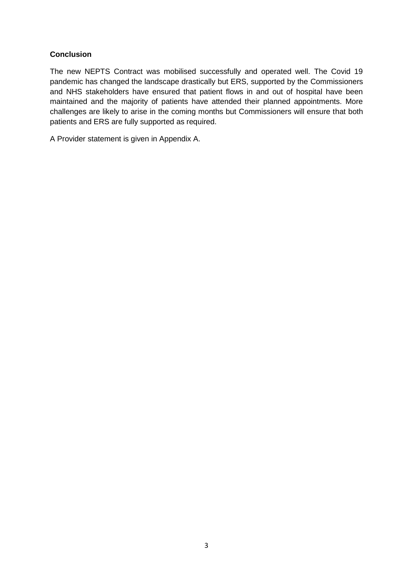## **Conclusion**

The new NEPTS Contract was mobilised successfully and operated well. The Covid 19 pandemic has changed the landscape drastically but ERS, supported by the Commissioners and NHS stakeholders have ensured that patient flows in and out of hospital have been maintained and the majority of patients have attended their planned appointments. More challenges are likely to arise in the coming months but Commissioners will ensure that both patients and ERS are fully supported as required.

A Provider statement is given in Appendix A.